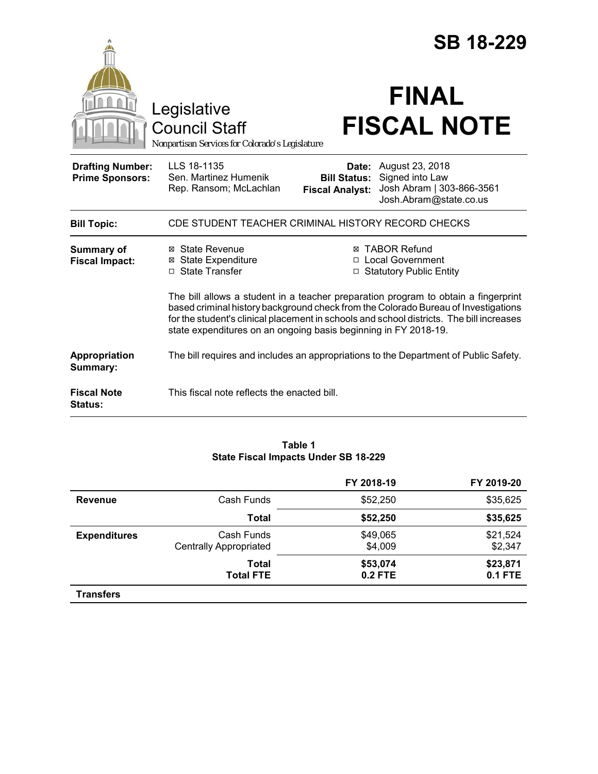|                                                   |                                                                                                                                                                                                                                                                                                                                         | <b>SB 18-229</b>                                       |                                                                                           |  |
|---------------------------------------------------|-----------------------------------------------------------------------------------------------------------------------------------------------------------------------------------------------------------------------------------------------------------------------------------------------------------------------------------------|--------------------------------------------------------|-------------------------------------------------------------------------------------------|--|
|                                                   | Legislative<br><b>Council Staff</b><br>Nonpartisan Services for Colorado's Legislature                                                                                                                                                                                                                                                  |                                                        | <b>FINAL</b><br><b>FISCAL NOTE</b>                                                        |  |
| <b>Drafting Number:</b><br><b>Prime Sponsors:</b> | LLS 18-1135<br>Sen. Martinez Humenik<br>Rep. Ransom; McLachlan                                                                                                                                                                                                                                                                          | Date:<br><b>Bill Status:</b><br><b>Fiscal Analyst:</b> | August 23, 2018<br>Signed into Law<br>Josh Abram   303-866-3561<br>Josh.Abram@state.co.us |  |
| <b>Bill Topic:</b>                                | CDE STUDENT TEACHER CRIMINAL HISTORY RECORD CHECKS                                                                                                                                                                                                                                                                                      |                                                        |                                                                                           |  |
| Summary of<br><b>Fiscal Impact:</b>               | ⊠ State Revenue<br><b>⊠ State Expenditure</b><br>□ State Transfer                                                                                                                                                                                                                                                                       |                                                        | <b>⊠ TABOR Refund</b><br>□ Local Government<br>□ Statutory Public Entity                  |  |
|                                                   | The bill allows a student in a teacher preparation program to obtain a fingerprint<br>based criminal history background check from the Colorado Bureau of Investigations<br>for the student's clinical placement in schools and school districts. The bill increases<br>state expenditures on an ongoing basis beginning in FY 2018-19. |                                                        |                                                                                           |  |
| Appropriation<br>Summary:                         |                                                                                                                                                                                                                                                                                                                                         |                                                        | The bill requires and includes an appropriations to the Department of Public Safety.      |  |
| <b>Fiscal Note</b><br>Status:                     | This fiscal note reflects the enacted bill.                                                                                                                                                                                                                                                                                             |                                                        |                                                                                           |  |

## **Table 1 State Fiscal Impacts Under SB 18-229**

|                     |                                             | FY 2018-19          | FY 2019-20                 |
|---------------------|---------------------------------------------|---------------------|----------------------------|
| <b>Revenue</b>      | Cash Funds                                  | \$52,250            | \$35,625                   |
|                     | Total                                       | \$52,250            | \$35,625                   |
| <b>Expenditures</b> | Cash Funds<br><b>Centrally Appropriated</b> | \$49,065<br>\$4,009 | \$21,524<br>\$2,347        |
|                     | Total<br><b>Total FTE</b>                   | \$53,074<br>0.2 FTE | \$23,871<br><b>0.1 FTE</b> |
| <b>Transfers</b>    |                                             |                     |                            |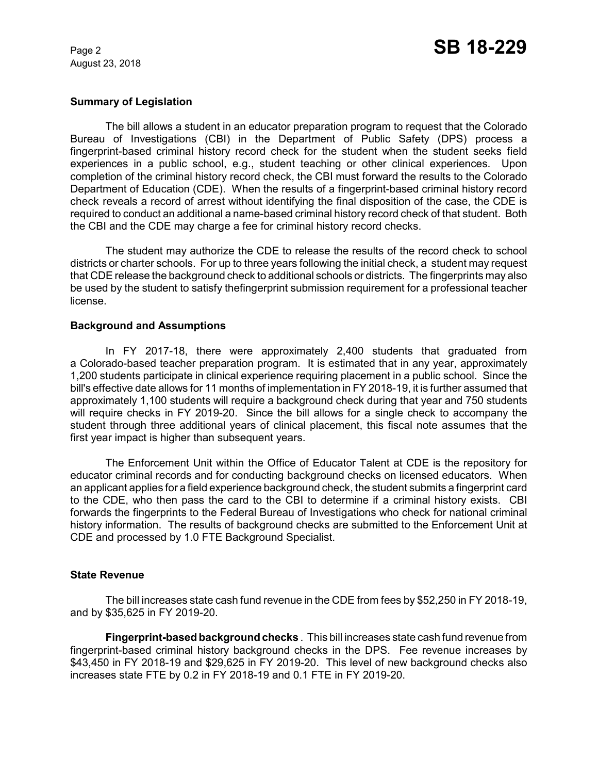August 23, 2018

### **Summary of Legislation**

The bill allows a student in an educator preparation program to request that the Colorado Bureau of Investigations (CBI) in the Department of Public Safety (DPS) process a fingerprint-based criminal history record check for the student when the student seeks field experiences in a public school, e.g., student teaching or other clinical experiences. Upon completion of the criminal history record check, the CBI must forward the results to the Colorado Department of Education (CDE). When the results of a fingerprint-based criminal history record check reveals a record of arrest without identifying the final disposition of the case, the CDE is required to conduct an additional a name-based criminal history record check of that student. Both the CBI and the CDE may charge a fee for criminal history record checks.

The student may authorize the CDE to release the results of the record check to school districts or charter schools. For up to three years following the initial check, a student may request that CDE release the background check to additional schools or districts. The fingerprints may also be used by the student to satisfy thefingerprint submission requirement for a professional teacher license.

### **Background and Assumptions**

In FY 2017-18, there were approximately 2,400 students that graduated from a Colorado-based teacher preparation program. It is estimated that in any year, approximately 1,200 students participate in clinical experience requiring placement in a public school. Since the bill's effective date allows for 11 months of implementation in FY 2018-19, it is further assumed that approximately 1,100 students will require a background check during that year and 750 students will require checks in FY 2019-20. Since the bill allows for a single check to accompany the student through three additional years of clinical placement, this fiscal note assumes that the first year impact is higher than subsequent years.

The Enforcement Unit within the Office of Educator Talent at CDE is the repository for educator criminal records and for conducting background checks on licensed educators. When an applicant applies for a field experience background check, the student submits a fingerprint card to the CDE, who then pass the card to the CBI to determine if a criminal history exists. CBI forwards the fingerprints to the Federal Bureau of Investigations who check for national criminal history information. The results of background checks are submitted to the Enforcement Unit at CDE and processed by 1.0 FTE Background Specialist.

# **State Revenue**

The bill increases state cash fund revenue in the CDE from fees by \$52,250 in FY 2018-19, and by \$35,625 in FY 2019-20.

**Fingerprint-based background checks** . This bill increases state cash fund revenue from fingerprint-based criminal history background checks in the DPS. Fee revenue increases by \$43,450 in FY 2018-19 and \$29,625 in FY 2019-20. This level of new background checks also increases state FTE by 0.2 in FY 2018-19 and 0.1 FTE in FY 2019-20.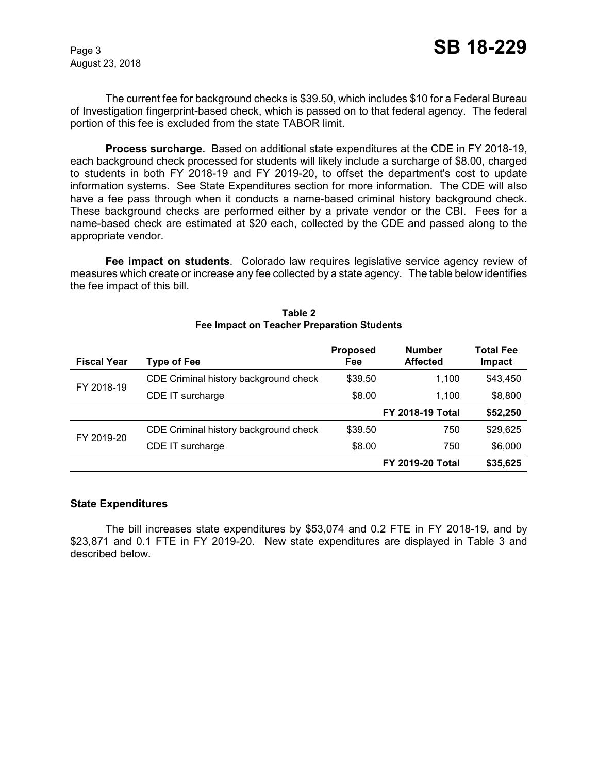August 23, 2018

The current fee for background checks is \$39.50, which includes \$10 for a Federal Bureau of Investigation fingerprint-based check, which is passed on to that federal agency. The federal portion of this fee is excluded from the state TABOR limit.

**Process surcharge.** Based on additional state expenditures at the CDE in FY 2018-19, each background check processed for students will likely include a surcharge of \$8.00, charged to students in both FY 2018-19 and FY 2019-20, to offset the department's cost to update information systems. See State Expenditures section for more information. The CDE will also have a fee pass through when it conducts a name-based criminal history background check. These background checks are performed either by a private vendor or the CBI. Fees for a name-based check are estimated at \$20 each, collected by the CDE and passed along to the appropriate vendor.

**Fee impact on students**. Colorado law requires legislative service agency review of measures which create or increase any fee collected by a state agency. The table below identifies the fee impact of this bill.

| <b>Fiscal Year</b> | <b>Type of Fee</b>                    | <b>Proposed</b><br>Fee | <b>Number</b><br><b>Affected</b> | <b>Total Fee</b><br>Impact |
|--------------------|---------------------------------------|------------------------|----------------------------------|----------------------------|
| FY 2018-19         | CDE Criminal history background check | \$39.50                | 1,100                            | \$43,450                   |
|                    | CDE IT surcharge                      | \$8.00                 | 1.100                            | \$8,800                    |
|                    |                                       |                        | <b>FY 2018-19 Total</b>          | \$52,250                   |
| FY 2019-20         | CDE Criminal history background check | \$39.50                | 750                              | \$29,625                   |
|                    | CDE IT surcharge                      | \$8.00                 | 750                              | \$6,000                    |
|                    |                                       |                        | <b>FY 2019-20 Total</b>          | \$35,625                   |

### **Table 2 Fee Impact on Teacher Preparation Students**

### **State Expenditures**

The bill increases state expenditures by \$53,074 and 0.2 FTE in FY 2018-19, and by \$23,871 and 0.1 FTE in FY 2019-20. New state expenditures are displayed in Table 3 and described below.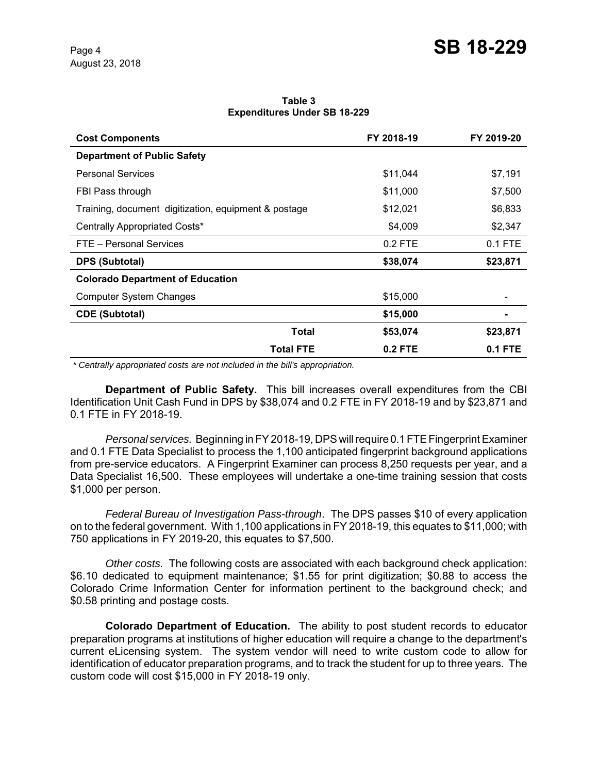**Table 3 Expenditures Under SB 18-229**

| <b>Cost Components</b>                               | FY 2018-19     | FY 2019-20 |
|------------------------------------------------------|----------------|------------|
| <b>Department of Public Safety</b>                   |                |            |
| <b>Personal Services</b>                             | \$11,044       | \$7,191    |
| FBI Pass through                                     | \$11,000       | \$7,500    |
| Training, document digitization, equipment & postage | \$12,021       | \$6,833    |
| Centrally Appropriated Costs*                        | \$4,009        | \$2,347    |
| FTE - Personal Services                              | 0.2 FTE        | $0.1$ FTE  |
| <b>DPS (Subtotal)</b>                                | \$38,074       | \$23,871   |
| <b>Colorado Department of Education</b>              |                |            |
| <b>Computer System Changes</b>                       | \$15,000       |            |
| <b>CDE (Subtotal)</b>                                | \$15,000       |            |
| Total                                                | \$53,074       | \$23,871   |
| <b>Total FTE</b>                                     | <b>0.2 FTE</b> | 0.1 FTE    |

 *\* Centrally appropriated costs are not included in the bill's appropriation.*

**Department of Public Safety.** This bill increases overall expenditures from the CBI Identification Unit Cash Fund in DPS by \$38,074 and 0.2 FTE in FY 2018-19 and by \$23,871 and 0.1 FTE in FY 2018-19.

*Personal services.* Beginning in FY 2018-19, DPS will require 0.1 FTE Fingerprint Examiner and 0.1 FTE Data Specialist to process the 1,100 anticipated fingerprint background applications from pre-service educators. A Fingerprint Examiner can process 8,250 requests per year, and a Data Specialist 16,500. These employees will undertake a one-time training session that costs \$1,000 per person.

*Federal Bureau of Investigation Pass-through*. The DPS passes \$10 of every application on to the federal government. With 1,100 applications in FY 2018-19, this equates to \$11,000; with 750 applications in FY 2019-20, this equates to \$7,500.

*Other costs.* The following costs are associated with each background check application: \$6.10 dedicated to equipment maintenance; \$1.55 for print digitization; \$0.88 to access the Colorado Crime Information Center for information pertinent to the background check; and \$0.58 printing and postage costs.

**Colorado Department of Education.** The ability to post student records to educator preparation programs at institutions of higher education will require a change to the department's current eLicensing system. The system vendor will need to write custom code to allow for identification of educator preparation programs, and to track the student for up to three years. The custom code will cost \$15,000 in FY 2018-19 only.